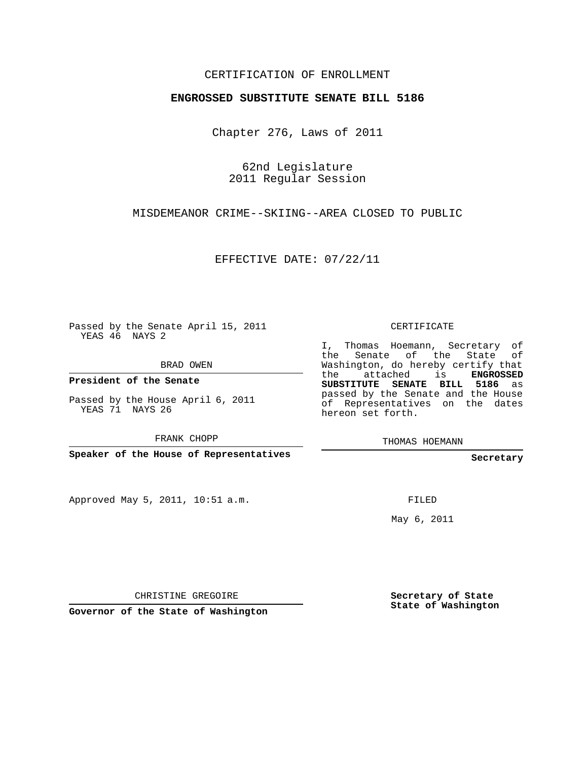## CERTIFICATION OF ENROLLMENT

## **ENGROSSED SUBSTITUTE SENATE BILL 5186**

Chapter 276, Laws of 2011

62nd Legislature 2011 Regular Session

MISDEMEANOR CRIME--SKIING--AREA CLOSED TO PUBLIC

EFFECTIVE DATE: 07/22/11

Passed by the Senate April 15, 2011 YEAS 46 NAYS 2

BRAD OWEN

**President of the Senate**

Passed by the House April 6, 2011 YEAS 71 NAYS 26

FRANK CHOPP

**Speaker of the House of Representatives**

Approved May 5, 2011, 10:51 a.m.

CERTIFICATE

I, Thomas Hoemann, Secretary of the Senate of the State of Washington, do hereby certify that the attached is **ENGROSSED SUBSTITUTE SENATE BILL 5186** as passed by the Senate and the House of Representatives on the dates hereon set forth.

THOMAS HOEMANN

**Secretary**

FILED

May 6, 2011

CHRISTINE GREGOIRE

**Governor of the State of Washington**

**Secretary of State State of Washington**